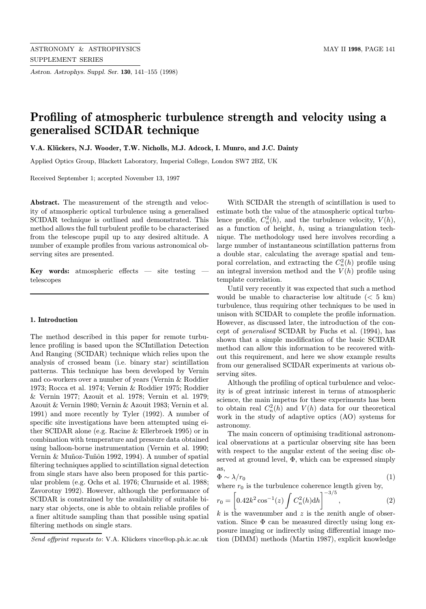Astron. Astrophys. Suppl. Ser. 130, 141–155 (1998)

# Profiling of atmospheric turbulence strength and velocity using a generalised SCIDAR technique

V.A. Klückers, N.J. Wooder, T.W. Nicholls, M.J. Adcock, I. Munro, and J.C. Dainty

Applied Optics Group, Blackett Laboratory, Imperial College, London SW7 2BZ, UK

Received September 1; accepted November 13, 1997

Abstract. The measurement of the strength and velocity of atmospheric optical turbulence using a generalised SCIDAR technique is outlined and demonstrated. This method allows the full turbulent profile to be characterised from the telescope pupil up to any desired altitude. A number of example profiles from various astronomical observing sites are presented.

Key words: atmospheric effects — site testing telescopes

## 1. Introduction

The method described in this paper for remote turbulence profiling is based upon the SCIntillation Detection And Ranging (SCIDAR) technique which relies upon the analysis of crossed beam (i.e. binary star) scintillation patterns. This technique has been developed by Vernin and co-workers over a number of years (Vernin & Roddier 1973; Rocca et al. 1974; Vernin & Roddier 1975; Roddier & Vernin 1977; Azouit et al. 1978; Vernin et al. 1979; Azouit & Vernin 1980; Vernin & Azouit 1983; Vernin et al. 1991) and more recently by Tyler (1992). A number of specific site investigations have been attempted using either SCIDAR alone (e.g. Racine & Ellerbroek 1995) or in combination with temperature and pressure data obtained using balloon-borne instrumentation (Vernin et al. 1990; Vernin & Muñoz-Tuñôn 1992, 1994). A number of spatial filtering techniques applied to scintillation signal detection from single stars have also been proposed for this particular problem (e.g. Ochs et al. 1976; Churnside et al. 1988; Zavorotny 1992). However, although the performance of SCIDAR is constrained by the availability of suitable binary star objects, one is able to obtain reliable profiles of a finer altitude sampling than that possible using spatial filtering methods on single stars.

With SCIDAR the strength of scintillation is used to estimate both the value of the atmospheric optical turbulence profile,  $C_n^2(h)$ , and the turbulence velocity,  $V(h)$ , as a function of height,  $h$ , using a triangulation technique. The methodology used here involves recording a large number of instantaneous scintillation patterns from a double star, calculating the average spatial and temporal correlation, and extracting the  $C_n^2(h)$  profile using an integral inversion method and the  $V(h)$  profile using template correlation.

Until very recently it was expected that such a method would be unable to characterise low altitude  $(< 5 \text{ km})$ turbulence, thus requiring other techniques to be used in unison with SCIDAR to complete the profile information. However, as discussed later, the introduction of the concept of generalised SCIDAR by Fuchs et al. (1994), has shown that a simple modification of the basic SCIDAR method can allow this information to be recovered without this requirement, and here we show example results from our generalised SCIDAR experiments at various observing sites.

Although the profiling of optical turbulence and velocity is of great intrinsic interest in terms of atmospheric science, the main impetus for these experiments has been to obtain real  $C_n^2(h)$  and  $V(h)$  data for our theoretical work in the study of adaptive optics (AO) systems for astronomy.

The main concern of optimising traditional astronomical observations at a particular observing site has been with respect to the angular extent of the seeing disc observed at ground level,  $\Phi$ , which can be expressed simply as,

$$
\Phi \sim \lambda / r_0 \tag{1}
$$

where  $r_0$  is the turbulence coherence length given by,

$$
r_0 = \left[0.42k^2 \cos^{-1}(z) \int C_n^2(h) dh\right]^{-3/5},\tag{2}
$$

k is the wavenumber and  $z$  is the zenith angle of observation. Since  $\Phi$  can be measured directly using long exposure imaging or indirectly using differential image motion (DIMM) methods (Martin 1987), explicit knowledge

Send offprint requests to: V.A. Klückers vince@op.ph.ic.ac.uk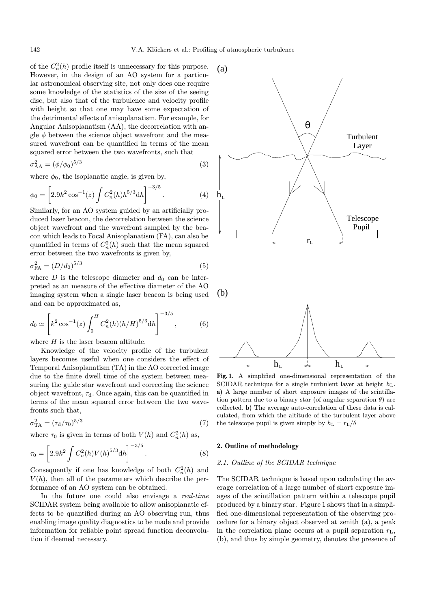(a)

 $h_{\scriptscriptstyle{\mathrm{I}}}$ 

of the  $C_n^2(h)$  profile itself is unnecessary for this purpose. However, in the design of an AO system for a particular astronomical observing site, not only does one require some knowledge of the statistics of the size of the seeing disc, but also that of the turbulence and velocity profile with height so that one may have some expectation of the detrimental effects of anisoplanatism. For example, for Angular Anisoplanatism (AA), the decorrelation with angle  $\phi$  between the science object wavefront and the measured wavefront can be quantified in terms of the mean squared error between the two wavefronts, such that

$$
\sigma_{AA}^2 = (\phi/\phi_0)^{5/3} \tag{3}
$$

where  $\phi_0$ , the isoplanatic angle, is given by,

$$
\phi_0 = \left[2.9k^2 \cos^{-1}(z) \int C_n^2(h) h^{5/3} dh\right]^{-3/5}.
$$
 (4)

Similarly, for an AO system guided by an artificially produced laser beacon, the decorrelation between the science object wavefront and the wavefront sampled by the beacon which leads to Focal Anisoplanatism (FA), can also be quantified in terms of  $C_n^2(h)$  such that the mean squared error between the two wavefronts is given by,

$$
\sigma_{\rm FA}^2 = (D/d_0)^{5/3} \tag{5}
$$

where  $D$  is the telescope diameter and  $d_0$  can be interpreted as an measure of the effective diameter of the AO imaging system when a single laser beacon is being used and can be approximated as,

$$
d_0 \simeq \left[ k^2 \cos^{-1}(z) \int_0^H C_n^2(h) (h/H)^{5/3} dh \right]^{-3/5}, \tag{6}
$$

where  $H$  is the laser beacon altitude.

Knowledge of the velocity profile of the turbulent layers becomes useful when one considers the effect of Temporal Anisoplanatism (TA) in the AO corrected image due to the finite dwell time of the system between measuring the guide star wavefront and correcting the science object wavefront,  $\tau_d$ . Once again, this can be quantified in terms of the mean squared error between the two wavefronts such that,

$$
\sigma_{\text{TA}}^2 = (\tau_{\text{d}}/\tau_0)^{5/3} \tag{7}
$$

where  $\tau_0$  is given in terms of both  $V(h)$  and  $C_n^2(h)$  as,

$$
\tau_0 = \left[2.9k^2 \int C_n^2(h)V(h)^{5/3}dh\right]^{-3/5}.
$$
 (8)

Consequently if one has knowledge of both  $C_n^2(h)$  and  $V(h)$ , then all of the parameters which describe the performance of an AO system can be obtained.

In the future one could also envisage a real-time SCIDAR system being available to allow anisoplanatic effects to be quantified during an AO observing run, thus enabling image quality diagnostics to be made and provide information for reliable point spread function deconvolution if deemed necessary.





 $r_{\rm L}$ 

Telescope Pupil

Turbulent Layer

Fig. 1. A simplified one-dimensional representation of the SCIDAR technique for a single turbulent layer at height  $h_L$ . a) A large number of short exposure images of the scintillation pattern due to a binary star (of angular separation  $\theta$ ) are collected. b) The average auto-correlation of these data is calculated, from which the altitude of the turbulent layer above the telescope pupil is given simply by  $h_L = r_L/\theta$ 

## 2. Outline of methodology

## 2.1. Outline of the SCIDAR technique

The SCIDAR technique is based upon calculating the average correlation of a large number of short exposure images of the scintillation pattern within a telescope pupil produced by a binary star. Figure 1 shows that in a simplified one-dimensional representation of the observing procedure for a binary object observed at zenith (a), a peak in the correlation plane occurs at a pupil separation  $r<sub>L</sub>$ , (b), and thus by simple geometry, denotes the presence of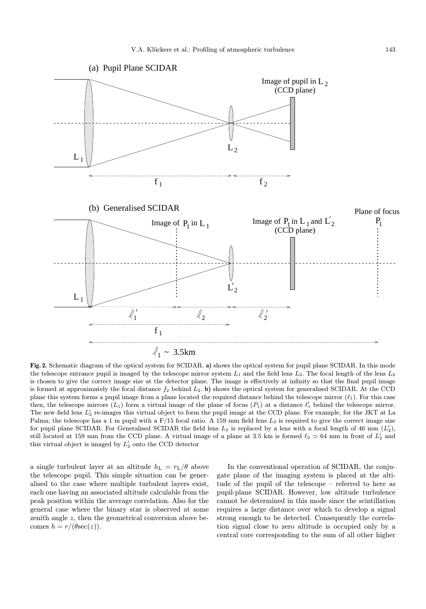

Fig. 2. Schematic diagram of the optical system for SCIDAR. a) shows the optical system for pupil plane SCIDAR. In this mode the telescope entrance pupil is imaged by the telescope mirror system  $L_1$  and the field lens  $L_2$ . The focal length of the lens  $L_2$ is chosen to give the correct image size at the detector plane. The image is effectively at infinity so that the final pupil image is formed at approximately the focal distance  $f_2$  behind  $L_2$ . b) shows the optical system for generalised SCIDAR. At the CCD plane this system forms a pupil image from a plane located the required distance behind the telescope mirror  $(\ell_1)$ . For this case then, the telescope mirrors  $(L_1)$  form a virtual image of the plane of focus  $(P_1)$  at a distance  $\ell'_1$  behind the telescope mirror. The new field lens  $L_2'$  re-images this virtual object to form the pupil image at the CCD plane. For example, for the JKT at La Palma; the telescope has a 1 m pupil with a  $F/15$  focal ratio. A 159 mm field lens  $L_2$  is required to give the correct image size for pupil plane SCIDAR. For Generalised SCIDAR the field lens  $L_2$  is replaced by a lens with a focal length of 46 mm  $(L'_2)$ , still located at 159 mm from the CCD plane. A virtual image of a plane at 3.5 km is formed  $\ell_2 \simeq 64$  mm in front of  $L'_2$  and this virtual object is imaged by  $L'_2$  onto the CCD detector

a single turbulent layer at an altitude  $h_L = r_L/\theta$  above the telescope pupil. This simple situation can be generalised to the case where multiple turbulent layers exist, each one having an associated altitude calculable from the peak position within the average correlation. Also for the general case where the binary star is observed at some zenith angle z, then the geometrical conversion above becomes  $h = r/(\theta \sec(z)).$ 

In the conventional operation of SCIDAR, the conjugate plane of the imaging system is placed at the altitude of the pupil of the telescope – referred to here as pupil-plane SCIDAR. However, low altitude turbulence cannot be determined in this mode since the scintillation requires a large distance over which to develop a signal strong enough to be detected. Consequently the correlation signal close to zero altitude is occupied only by a central core corresponding to the sum of all other higher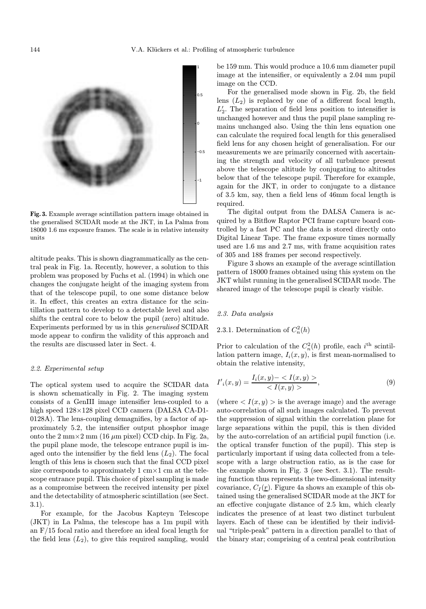

Fig. 3. Example average scintillation pattern image obtained in the generalised SCIDAR mode at the JKT, in La Palma from 18000 1.6 ms exposure frames. The scale is in relative intensity units

altitude peaks. This is shown diagrammatically as the central peak in Fig. 1a. Recently, however, a solution to this problem was proposed by Fuchs et al. (1994) in which one changes the conjugate height of the imaging system from that of the telescope pupil, to one some distance below it. In effect, this creates an extra distance for the scintillation pattern to develop to a detectable level and also shifts the central core to below the pupil (zero) altitude. Experiments performed by us in this generalised SCIDAR mode appear to confirm the validity of this approach and the results are discussed later in Sect. 4.

## 2.2. Experimental setup

The optical system used to acquire the SCIDAR data is shown schematically in Fig. 2. The imaging system consists of a GenIII image intensifier lens-coupled to a high speed 128×128 pixel CCD camera (DALSA CA-D1- 0128A). The lens-coupling demagnifies, by a factor of approximately 5.2, the intensifier output phosphor image onto the  $2 \text{ mm} \times 2 \text{ mm}$  (16  $\mu$ m pixel) CCD chip. In Fig. 2a, the pupil plane mode, the telescope entrance pupil is imaged onto the intensifier by the field lens  $(L_2)$ . The focal length of this lens is chosen such that the final CCD pixel size corresponds to approximately  $1 \text{ cm} \times 1 \text{ cm}$  at the telescope entrance pupil. This choice of pixel sampling is made as a compromise between the received intensity per pixel and the detectability of atmospheric scintillation (see Sect. 3.1).

For example, for the Jacobus Kapteyn Telescope (JKT) in La Palma, the telescope has a 1m pupil with an F/15 focal ratio and therefore an ideal focal length for the field lens  $(L_2)$ , to give this required sampling, would be 159 mm. This would produce a 10.6 mm diameter pupil image at the intensifier, or equivalently a 2.04 mm pupil image on the CCD.

For the generalised mode shown in Fig. 2b, the field lens  $(L_2)$  is replaced by one of a different focal length,  $L_2'$ . The separation of field lens position to intensifier is unchanged however and thus the pupil plane sampling remains unchanged also. Using the thin lens equation one can calculate the required focal length for this generalised field lens for any chosen height of generalisation. For our measurements we are primarily concerned with ascertaining the strength and velocity of all turbulence present above the telescope altitude by conjugating to altitudes below that of the telescope pupil. Therefore for example, again for the JKT, in order to conjugate to a distance of 3.5 km, say, then a field lens of 46mm focal length is required.

The digital output from the DALSA Camera is acquired by a Bitflow Raptor PCI frame capture board controlled by a fast PC and the data is stored directly onto Digital Linear Tape. The frame exposure times normally used are 1.6 ms and 2.7 ms, with frame acquisition rates of 305 and 188 frames per second respectively.

Figure 3 shows an example of the average scintillation pattern of 18000 frames obtained using this system on the JKT whilst running in the generalised SCIDAR mode. The sheared image of the telescope pupil is clearly visible.

## 2.3. Data analysis

# 2.3.1. Determination of  $C_n^2(h)$

Prior to calculation of the  $C_n^2(h)$  profile, each i<sup>th</sup> scintillation pattern image,  $I_i(x, y)$ , is first mean-normalised to obtain the relative intensity,

$$
I'_{i}(x,y) = \frac{I_{i}(x,y) - \langle I(x,y) \rangle}{\langle I(x,y) \rangle},\tag{9}
$$

(where  $\langle I(x, y) \rangle$  is the average image) and the average auto-correlation of all such images calculated. To prevent the suppression of signal within the correlation plane for large separations within the pupil, this is then divided by the auto-correlation of an artificial pupil function (i.e. the optical transfer function of the pupil). This step is particularly important if using data collected from a telescope with a large obstruction ratio, as is the case for the example shown in Fig. 3 (see Sect. 3.1). The resulting function thus represents the two-dimensional intensity covariance,  $C_I(\underline{r})$ . Figure 4a shows an example of this obtained using the generalised SCIDAR mode at the JKT for an effective conjugate distance of 2.5 km, which clearly indicates the presence of at least two distinct turbulent layers. Each of these can be identified by their individual "triple-peak" pattern in a direction parallel to that of the binary star; comprising of a central peak contribution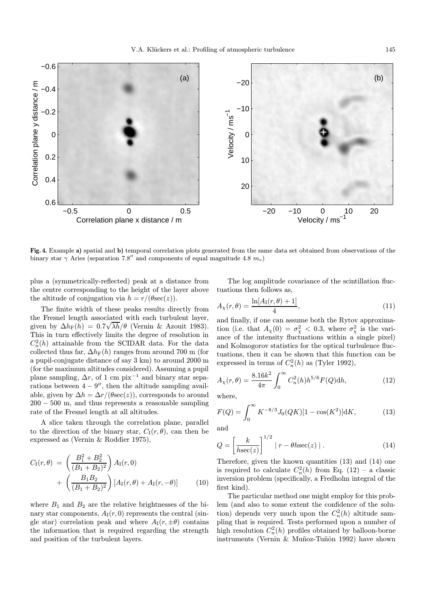

Fig. 4. Example a) spatial and b) temporal correlation plots generated from the same data set obtained from observations of the binary star  $\gamma$  Aries (separation 7.8<sup>0</sup> and components of equal magnitude 4.8  $m_v$ )

plus a (symmetrically-reflected) peak at a distance from the centre corresponding to the height of the layer above the altitude of conjugation via  $h = r/(\theta \sec(z))$ .

The finite width of these peaks results directly from the Fresnel length associated with each turbulent layer, given by  $\Delta h_{\rm F}(h) = 0.7 \sqrt{\lambda h/\theta}$  (Vernin & Azouit 1983). This in turn effectively limits the degree of resolution in  $C_n^2(h)$  attainable from the SCIDAR data. For the data collected thus far,  $\Delta h_F(h)$  ranges from around 700 m (for a pupil-conjugate distance of say 3 km) to around 2000 m (for the maximum altitudes considered). Assuming a pupil plane sampling,  $\Delta r$ , of 1 cm pix<sup>-1</sup> and binary star separations between  $4 - 9''$ , then the altitude sampling available, given by  $\Delta h = \Delta r/(\theta \sec(z))$ , corresponds to around  $200 - 500$  m, and thus represents a reasonable sampling rate of the Fresnel length at all altitudes.

A slice taken through the correlation plane, parallel to the direction of the binary star,  $C_I(r, \theta)$ , can then be expressed as (Vernin & Roddier 1975),

$$
C_{\rm I}(r,\theta) = \left(\frac{B_1^2 + B_2^2}{(B_1 + B_2)^2}\right) A_{\rm I}(r,0) + \left(\frac{B_1 B_2}{(B_1 + B_2)^2}\right) [A_{\rm I}(r,\theta) + A_{\rm I}(r,-\theta)] \tag{10}
$$

where  $B_1$  and  $B_2$  are the relative brightnesses of the binary star components,  $A_I(r, 0)$  represents the central (single star) correlation peak and where  $A_I(r, \pm \theta)$  contains the information that is required regarding the strength and position of the turbulent layers.

The log amplitude covariance of the scintillation fluctuations then follows as,

$$
A_{\chi}(r,\theta) = \frac{\ln[A_{\rm I}(r,\theta) + 1]}{4},\tag{11}
$$

and finally, if one can assume both the Rytov approximation (i.e. that  $A_\chi(0) = \sigma_\chi^2 < 0.3$ , where  $\sigma_\chi^2$  is the variance of the intensity fluctuations within  $\hat{a}$  single pixel) and Kolmogorov statistics for the optical turbulence fluctuations, then it can be shown that this function can be expressed in terms of  $C_n^2(h)$  as (Tyler 1992),

$$
A_{\chi}(r,\theta) = \frac{8.16k^2}{4\pi} \int_0^{\infty} C_n^2(h) h^{5/6} F(Q) dh,
$$
 (12)

where,

$$
F(Q) = \int_0^\infty K^{-8/3} J_0(QK)[1 - \cos(K^2)] \mathrm{d}K,\tag{13}
$$

and

$$
Q = \left[\frac{k}{h\sec(z)}\right]^{1/2} |r - \theta h \sec(z)|.
$$
 (14)

Therefore, given the known quantities (13) and (14) one is required to calculate  $C_n^2(h)$  from Eq. (12) – a classic inversion problem (specifically, a Fredholm integral of the first kind).

The particular method one might employ for this problem (and also to some extent the confidence of the solution) depends very much upon the  $C_n^2(h)$  altitude sampling that is required. Tests performed upon a number of high resolution  $C_n^2(h)$  profiles obtained by balloon-borne instruments (Vernin & Muñoz-Tuñôn 1992) have shown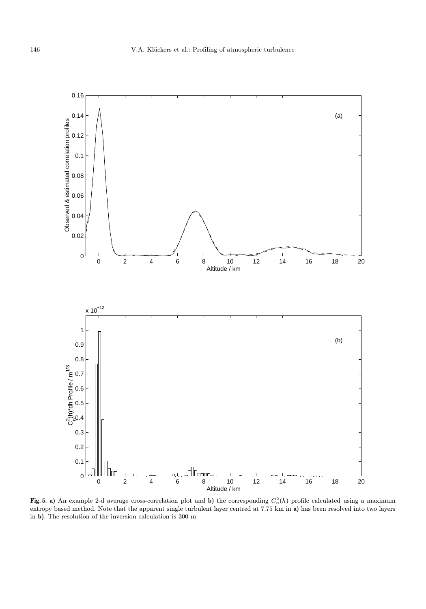

Fig. 5. a) An example 2-d average cross-correlation plot and b) the corresponding  $C_n^2(h)$  profile calculated using a maximum entropy based method. Note that the apparent single turbulent layer centred at 7.75 km in a) has been resolved into two layers in b). The resolution of the inversion calculation is 300 m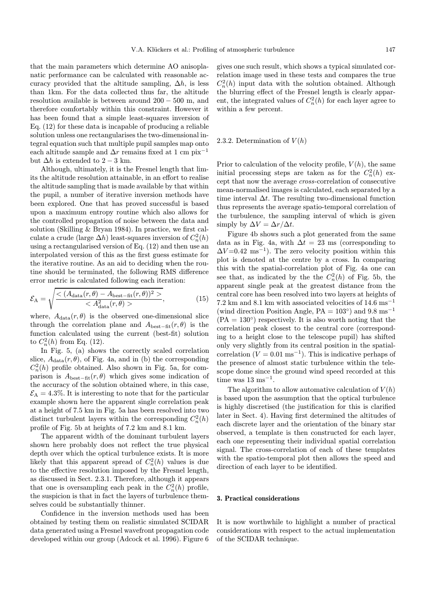that the main parameters which determine AO anisoplanatic performance can be calculated with reasonable accuracy provided that the altitude sampling,  $\Delta h$ , is less than 1km. For the data collected thus far, the altitude resolution available is between around 200 − 500 m, and therefore comfortably within this constraint. However it has been found that a simple least-squares inversion of Eq. (12) for these data is incapable of producing a reliable solution unless one rectangularises the two-dimensional integral equation such that multiple pupil samples map onto each altitude sample and  $\Delta r$  remains fixed at 1 cm pix<sup>-1</sup> but  $\Delta h$  is extended to 2 – 3 km.

Although, ultimately, it is the Fresnel length that limits the altitude resolution attainable, in an effort to realise the altitude sampling that is made available by that within the pupil, a number of iterative inversion methods have been explored. One that has proved successful is based upon a maximum entropy routine which also allows for the controlled propagation of noise between the data and solution (Skilling & Bryan 1984). In practice, we first calculate a crude (large  $\Delta h$ ) least-squares inversion of  $C_n^2(h)$ using a rectangularised version of Eq. (12) and then use an interpolated version of this as the first guess estimate for the iterative routine. As an aid to deciding when the routine should be terminated, the following RMS difference error metric is calculated following each iteration:

$$
\mathcal{E}_{\mathcal{A}} = \sqrt{\frac{<(A_{\text{data}}(r,\theta) - A_{\text{best-fit}}(r,\theta))^2 >}{}},
$$
(15)

where,  $A_{data}(r, \theta)$  is the observed one-dimensional slice through the correlation plane and  $A_{\text{best-fit}}(r, \theta)$  is the function calculated using the current (best-fit) solution to  $C_n^2(h)$  from Eq. (12).

In Fig. 5, (a) shows the correctly scaled correlation slice,  $A_{data}(r, \theta)$ , of Fig. 4a, and in (b) the corresponding  $C_n^2(h)$  profile obtained. Also shown in Fig. 5a, for comparison is  $A_{\text{best-fit}}(r, \theta)$  which gives some indication of the accuracy of the solution obtained where, in this case,  $\mathcal{E}_A = 4.3\%$ . It is interesting to note that for the particular example shown here the apparent single correlation peak at a height of 7.5 km in Fig. 5a has been resolved into two distinct turbulent layers within the corresponding  $C_n^2(h)$ profile of Fig. 5b at heights of 7.2 km and 8.1 km.

The apparent width of the dominant turbulent layers shown here probably does not reflect the true physical depth over which the optical turbulence exists. It is more likely that this apparent spread of  $C_n^2(h)$  values is due to the effective resolution imposed by the Fresnel length, as discussed in Sect. 2.3.1. Therefore, although it appears that one is oversampling each peak in the  $C_n^2(h)$  profile, the suspicion is that in fact the layers of turbulence themselves could be substantially thinner.

Confidence in the inversion methods used has been obtained by testing them on realistic simulated SCIDAR data generated using a Fresnel wavefront propagation code developed within our group (Adcock et al. 1996). Figure 6

gives one such result, which shows a typical simulated correlation image used in these tests and compares the true  $C_n^2(h)$  input data with the solution obtained. Although the blurring effect of the Fresnel length is clearly apparent, the integrated values of  $C_n^2(h)$  for each layer agree to within a few percent.

## 2.3.2. Determination of  $V(h)$

Prior to calculation of the velocity profile,  $V(h)$ , the same initial processing steps are taken as for the  $C_n^2(h)$  except that now the average cross-correlation of consecutive mean-normalised images is calculated, each separated by a time interval  $\Delta t$ . The resulting two-dimensional function thus represents the average spatio-temporal correlation of the turbulence, the sampling interval of which is given simply by  $\Delta V = \Delta r / \Delta t$ .

Figure 4b shows such a plot generated from the same data as in Fig. 4a, with  $\Delta t = 23$  ms (corresponding to  $\Delta V = 0.42 \text{ ms}^{-1}$ . The zero velocity position within this plot is denoted at the centre by a cross. In comparing this with the spatial-correlation plot of Fig. 4a one can see that, as indicated by the the  $C_n^2(h)$  of Fig. 5b, the apparent single peak at the greatest distance from the central core has been resolved into two layers at heights of 7.2 km and 8.1 km with associated velocities of  $14.6 \text{ ms}^{-1}$ (wind direction Position Angle, PA =  $103°$ ) and 9.8 ms<sup>-1</sup>  $(PA = 130^{\circ})$  respectively. It is also worth noting that the correlation peak closest to the central core (corresponding to a height close to the telescope pupil) has shifted only very slightly from its central position in the spatialcorrelation ( $V = 0.01$  ms<sup>-1</sup>). This is indicative perhaps of the presence of almost static turbulence within the telescope dome since the ground wind speed recorded at this time was  $13 \text{ ms}^{-1}$ .

The algorithm to allow automative calculation of  $V(h)$ is based upon the assumption that the optical turbulence is highly discretised (the justification for this is clarified later in Sect. 4). Having first determined the altitudes of each discrete layer and the orientation of the binary star observed, a template is then constructed for each layer, each one representing their individual spatial correlation signal. The cross-correlation of each of these templates with the spatio-temporal plot then allows the speed and direction of each layer to be identified.

## 3. Practical considerations

It is now worthwhile to highlight a number of practical considerations with respect to the actual implementation of the SCIDAR technique.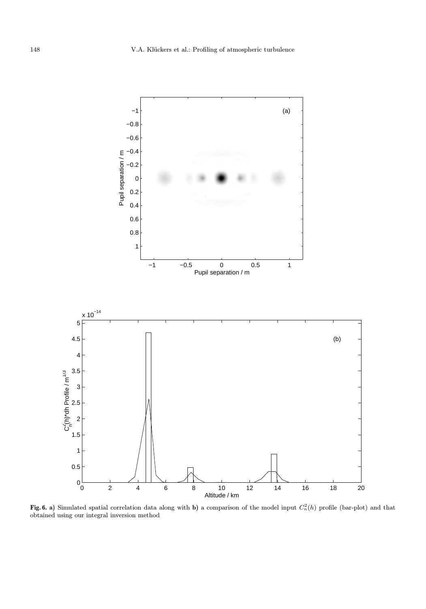

Fig. 6. a) Simulated spatial correlation data along with b) a comparison of the model input  $C_n^2(h)$  profile (bar-plot) and that obtained using our integral inversion method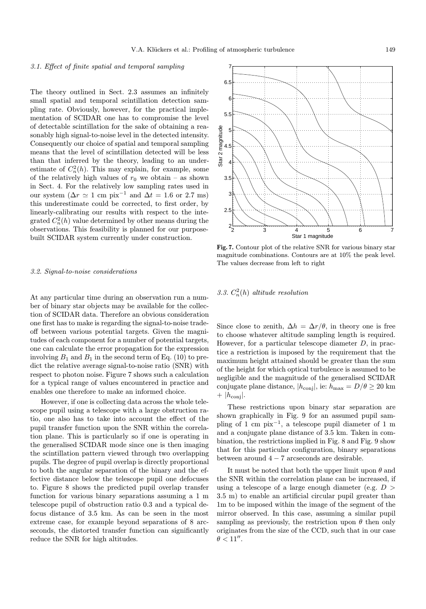## 3.1. Effect of finite spatial and temporal sampling

The theory outlined in Sect. 2.3 assumes an infinitely small spatial and temporal scintillation detection sampling rate. Obviously, however, for the practical implementation of SCIDAR one has to compromise the level of detectable scintillation for the sake of obtaining a reasonably high signal-to-noise level in the detected intensity. Consequently our choice of spatial and temporal sampling means that the level of scintillation detected will be less than that inferred by the theory, leading to an underestimate of  $C_n^2(h)$ . This may explain, for example, some of the relatively high values of  $r_0$  we obtain – as shown in Sect. 4. For the relatively low sampling rates used in our system  $(\Delta r \simeq 1 \text{ cm pix}^{-1} \text{ and } \Delta t = 1.6 \text{ or } 2.7 \text{ ms})$ this underestimate could be corrected, to first order, by linearly-calibrating our results with respect to the integrated  $C_n^2(h)$  value determined by other means during the observations. This feasibility is planned for our purposebuilt SCIDAR system currently under construction.

## 3.2. Signal-to-noise considerations

At any particular time during an observation run a number of binary star objects may be available for the collection of SCIDAR data. Therefore an obvious consideration one first has to make is regarding the signal-to-noise tradeoff between various potential targets. Given the magnitudes of each component for a number of potential targets, one can calculate the error propagation for the expression involving  $B_1$  and  $B_1$  in the second term of Eq. (10) to predict the relative average signal-to-noise ratio (SNR) with respect to photon noise. Figure 7 shows such a calculation for a typical range of values encountered in practice and enables one therefore to make an informed choice.

However, if one is collecting data across the whole telescope pupil using a telescope with a large obstruction ratio, one also has to take into account the effect of the pupil transfer function upon the SNR within the correlation plane. This is particularly so if one is operating in the generalised SCIDAR mode since one is then imaging the scintillation pattern viewed through two overlapping pupils. The degree of pupil overlap is directly proportional to both the angular separation of the binary and the effective distance below the telescope pupil one defocuses to. Figure 8 shows the predicted pupil overlap transfer function for various binary separations assuming a 1 m telescope pupil of obstruction ratio 0.3 and a typical defocus distance of 3.5 km. As can be seen in the most extreme case, for example beyond separations of 8 arcseconds, the distorted transfer function can significantly reduce the SNR for high altitudes.



Fig. 7. Contour plot of the relative SNR for various binary star magnitude combinations. Contours are at 10% the peak level. The values decrease from left to right

3.3.  $C_n^2(h)$  altitude resolution

Since close to zenith,  $\Delta h = \Delta r/\theta$ , in theory one is free to choose whatever altitude sampling length is required. However, for a particular telescope diameter  $D$ , in practice a restriction is imposed by the requirement that the maximum height attained should be greater than the sum of the height for which optical turbulence is assumed to be negligible and the magnitude of the generalised SCIDAR conjugate plane distance,  $|h_{\text{conj}}|$ , ie:  $h_{\text{max}} = D/\theta \geq 20$  km  $+$  | $h_{\text{coni}}$ |.

These restrictions upon binary star separation are shown graphically in Fig. 9 for an assumed pupil sampling of 1 cm pix<sup>-1</sup>, a telescope pupil diameter of 1 m and a conjugate plane distance of 3.5 km. Taken in combination, the restrictions implied in Fig. 8 and Fig. 9 show that for this particular configuration, binary separations between around  $4 - 7$  arcseconds are desirable.

It must be noted that both the upper limit upon  $\theta$  and the SNR within the correlation plane can be increased, if using a telescope of a large enough diameter (e.g.  $D >$ 3.5 m) to enable an artificial circular pupil greater than 1m to be imposed within the image of the segment of the mirror observed. In this case, assuming a similar pupil sampling as previously, the restriction upon  $\theta$  then only originates from the size of the CCD, such that in our case  $\theta < 11$ ".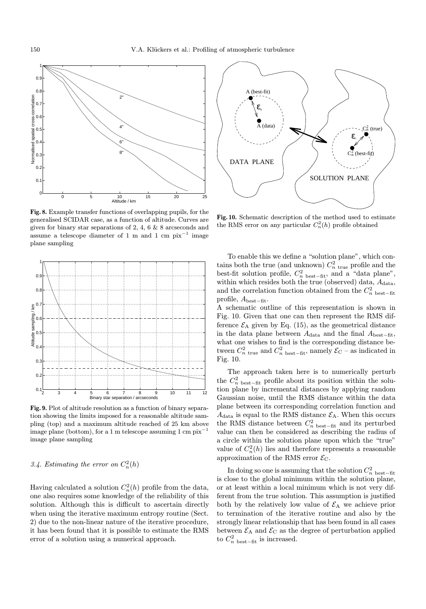

Fig. 8. Example transfer functions of overlapping pupils, for the generalised SCIDAR case, as a function of altitude. Curves are given for binary star separations of 2, 4, 6 & 8 arcseconds and assume a telescope diameter of 1 m and 1 cm  $pix^{-1}$  image plane sampling



Fig. 9. Plot of altitude resolution as a function of binary separation showing the limits imposed for a reasonable altitude sampling (top) and a maximum altitude reached of 25 km above image plane (bottom), for a 1 m telescope assuming 1 cm  $pix^{-1}$ image plane sampling

# 3.4. Estimating the error on  $C_n^2(h)$

Having calculated a solution  $C_n^2(h)$  profile from the data, one also requires some knowledge of the reliability of this solution. Although this is difficult to ascertain directly when using the iterative maximum entropy routine (Sect. 2) due to the non-linear nature of the iterative procedure, it has been found that it is possible to estimate the RMS error of a solution using a numerical approach.



Fig. 10. Schematic description of the method used to estimate the RMS error on any particular  $C_n^2(h)$  profile obtained

To enable this we define a "solution plane", which contains both the true (and unknown)  $C_n^2$  true profile and the best-fit solution profile,  $C_n^2$  best–fit, and a "data plane", within which resides both the true (observed) data,  $A_{data}$ , and the correlation function obtained from the  $C_n^2$  best–fit profile, Abest−fit.

A schematic outline of this representation is shown in Fig. 10. Given that one can then represent the RMS difference  $\mathcal{E}_A$  given by Eq. (15), as the geometrical distance in the data plane between  $A_{data}$  and the final  $A_{best-fit}$ , what one wishes to find is the corresponding distance between  $C_n^2$ <sub>true</sub> and  $C_n^2$ <sub>best−fit</sub>, namely  $\mathcal{E}_{\text{C}}$  – as indicated in Fig. 10.

The approach taken here is to numerically perturb the  $C_n^2$  best–fit profile about its position within the solution plane by incremental distances by applying random Gaussian noise, until the RMS distance within the data plane between its corresponding correlation function and  $A_{data}$  is equal to the RMS distance  $\mathcal{E}_A$ . When this occurs the RMS distance between  $C_n^2$  best–fit and its perturbed value can then be considered as describing the radius of a circle within the solution plane upon which the "true" value of  $C_n^2(h)$  lies and therefore represents a reasonable approximation of the RMS error  $\mathcal{E}_{C}$ .

In doing so one is assuming that the solution  $C_n^2$  best–fit is close to the global minimum within the solution plane, or at least within a local minimum which is not very different from the true solution. This assumption is justified both by the relatively low value of  $\mathcal{E}_A$  we achieve prior to termination of the iterative routine and also by the strongly linear relationship that has been found in all cases between  $\mathcal{E}_A$  and  $\mathcal{E}_C$  as the degree of perturbation applied to  $C_n^2$  best–fit is increased.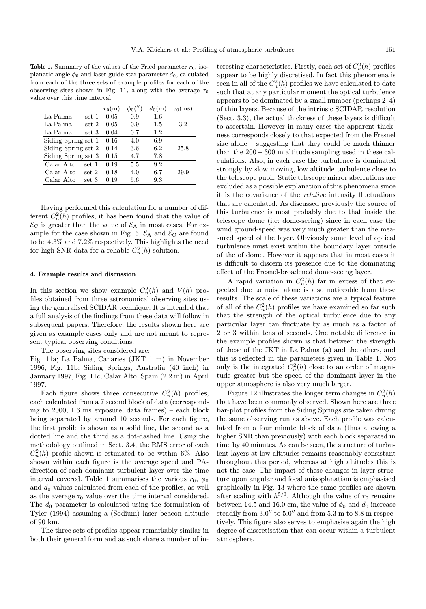**Table 1.** Summary of the values of the Fried parameter  $r_0$ , isoplanatic angle  $\phi_0$  and laser guide star parameter  $d_0$ , calculated from each of the three sets of example profiles for each of the observing sites shown in Fig. 11, along with the average  $\tau_0$ value over this time interval

|                     |       | $r_0(m)$ |     | $d_0(m)$ | $\tau_0$ (ms) |
|---------------------|-------|----------|-----|----------|---------------|
| La Palma            | set 1 | 0.05     | 0.9 | 1.6      |               |
| La Palma            | set 2 | 0.05     | 0.9 | 1.5      | $3.2\,$       |
| La Palma            | set 3 | 0.04     | 0.7 | 1.2      |               |
| Siding Spring set 1 |       | 0.16     | 4.0 | 6.9      |               |
| Siding Spring set 2 |       | 0.14     | 3.6 | 6.2      | 25.8          |
| Siding Spring set 3 |       | 0.15     | 4.7 | 7.8      |               |
| Calar Alto<br>set 1 |       | 0.19     | 5.5 | 9.2      |               |
| Calar Alto<br>set 2 |       | 0.18     | 4.0 | 6.7      | 29.9          |
| Calar Alto<br>set 3 |       | 0.19     | 5.6 | 9.3      |               |

Having performed this calculation for a number of different  $C_n^2(h)$  profiles, it has been found that the value of  $\mathcal{E}_{\text{C}}$  is greater than the value of  $\mathcal{E}_{\text{A}}$  in most cases. For example for the case shown in Fig. 5,  $\mathcal{E}_\mathrm{A}$  and  $\mathcal{E}_\mathrm{C}$  are found to be 4.3% and 7.2% respectively. This highlights the need for high SNR data for a reliable  $C_n^2(h)$  solution.

## 4. Example results and discussion

In this section we show example  $C_n^2(h)$  and  $V(h)$  profiles obtained from three astronomical observing sites using the generalised SCIDAR technique. It is intended that a full analysis of the findings from these data will follow in subsequent papers. Therefore, the results shown here are given as example cases only and are not meant to represent typical observing conditions.

The observing sites considered are:

Fig. 11a; La Palma, Canaries (JKT 1 m) in November 1996, Fig. 11b; Siding Springs, Australia (40 inch) in January 1997, Fig. 11c; Calar Alto, Spain (2.2 m) in April 1997.

Each figure shows three consecutive  $C_n^2(h)$  profiles, each calculated from a 7 second block of data (corresponding to 2000, 1.6 ms exposure, data frames) – each block being separated by around 10 seconds. For each figure, the first profile is shown as a solid line, the second as a dotted line and the third as a dot-dashed line. Using the methodology outlined in Sect. 3.4, the RMS error of each  $C_n^2(h)$  profile shown is estimated to be within 6%. Also shown within each figure is the average speed and PAdirection of each dominant turbulent layer over the time interval covered. Table 1 summarises the various  $r_0$ ,  $\phi_0$ and  $d_0$  values calculated from each of the profiles, as well as the average  $\tau_0$  value over the time interval considered. The  $d_0$  parameter is calculated using the formulation of Tyler (1994) assuming a (Sodium) laser beacon altitude of 90 km.

The three sets of profiles appear remarkably similar in both their general form and as such share a number of in-

teresting characteristics. Firstly, each set of  $C_n^2(h)$  profiles appear to be highly discretised. In fact this phenomena is seen in all of the  $C_n^2(h)$  profiles we have calculated to date such that at any particular moment the optical turbulence appears to be dominated by a small number (perhaps 2–4) of thin layers. Because of the intrinsic SCIDAR resolution (Sect. 3.3), the actual thickness of these layers is difficult to ascertain. However in many cases the apparent thickness corresponds closely to that expected from the Fresnel size alone – suggesting that they could be much thinner than the  $200 - 300$  m altitude sampling used in these calculations. Also, in each case the turbulence is dominated strongly by slow moving, low altitude turbulence close to the telescope pupil. Static telescope mirror aberrations are excluded as a possible explanation of this phenomena since it is the covariance of the relative intensity fluctuations that are calculated. As discussed previously the source of this turbulence is most probably due to that inside the telescope dome (i.e: dome-seeing) since in each case the wind ground-speed was very much greater than the measured speed of the layer. Obviously some level of optical turbulence must exist within the boundary layer outside of the of dome. However it appears that in most cases it is difficult to discern its presence due to the dominating effect of the Fresnel-broadened dome-seeing layer.

A rapid variation in  $C_n^2(h)$  far in excess of that expected due to noise alone is also noticeable from these results. The scale of these variations are a typical feature of all of the  $C_n^2(h)$  profiles we have examined so far such that the strength of the optical turbulence due to any particular layer can fluctuate by as much as a factor of 2 or 3 within tens of seconds. One notable difference in the example profiles shown is that between the strength of those of the JKT in La Palma (a) and the others, and this is reflected in the parameters given in Table 1. Not only is the integrated  $C_n^2(h)$  close to an order of magnitude greater but the speed of the dominant layer in the upper atmosphere is also very much larger.

Figure 12 illustrates the longer term changes in  $C_n^2(h)$ that have been commonly observed. Shown here are three bar-plot profiles from the Siding Springs site taken during the same observing run as above. Each profile was calculated from a four minute block of data (thus allowing a higher SNR than previously) with each block separated in time by 40 minutes. As can be seen, the structure of turbulent layers at low altitudes remains reasonably consistant throughout this period, whereas at high altitudes this is not the case. The impact of these changes in layer structure upon angular and focal anisoplanatism is emphasised graphically in Fig. 13 where the same profiles are shown after scaling with  $h^{5/3}$ . Although the value of  $r_0$  remains between 14.5 and 16.0 cm, the value of  $\phi_0$  and  $d_0$  increase steadily from  $3.0''$  to  $5.0''$  and from  $5.3$  m to  $8.8$  m respectively. This figure also serves to emphasise again the high degree of discretisation that can occur within a turbulent atmosphere.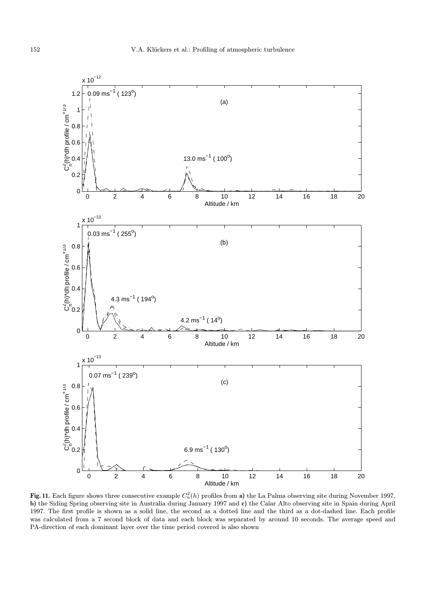

Fig. 11. Each figure shows three consecutive example  $C_n^2(h)$  profiles from a) the La Palma observing site during November 1997, b) the Siding Spring observing site in Australia during January 1997 and c) the Calar Alto observing site in Spain during April 1997. The first profile is shown as a solid line, the second as a dotted line and the third as a dot-dashed line. Each profile was calculated from a 7 second block of data and each block was separated by around 10 seconds. The average speed and PA-direction of each dominant layer over the time period covered is also shown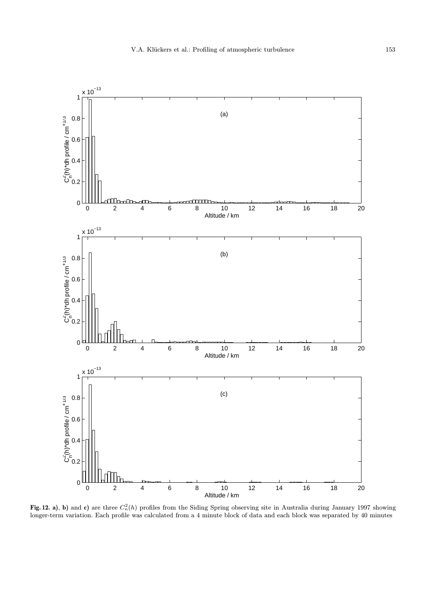

Fig. 12. a), b) and c) are three  $C_n^2(h)$  profiles from the Siding Spring observing site in Australia during January 1997 showing longer-term variation. Each profile was calculated from a 4 minute block of data and each block was separated by 40 minutes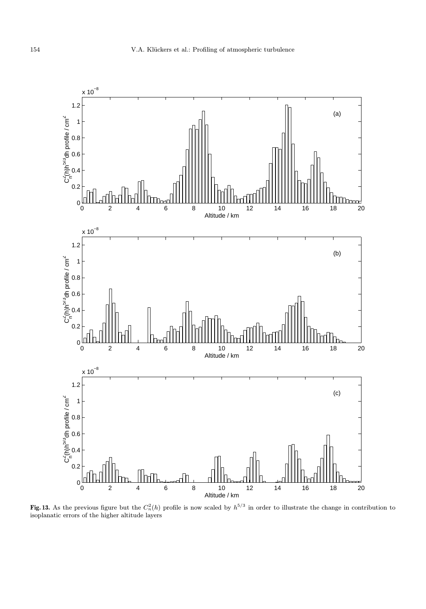

Fig. 13. As the previous figure but the  $C_n^2(h)$  profile is now scaled by  $h^{5/3}$  in order to illustrate the change in contribution to isoplanatic errors of the higher altitude layers